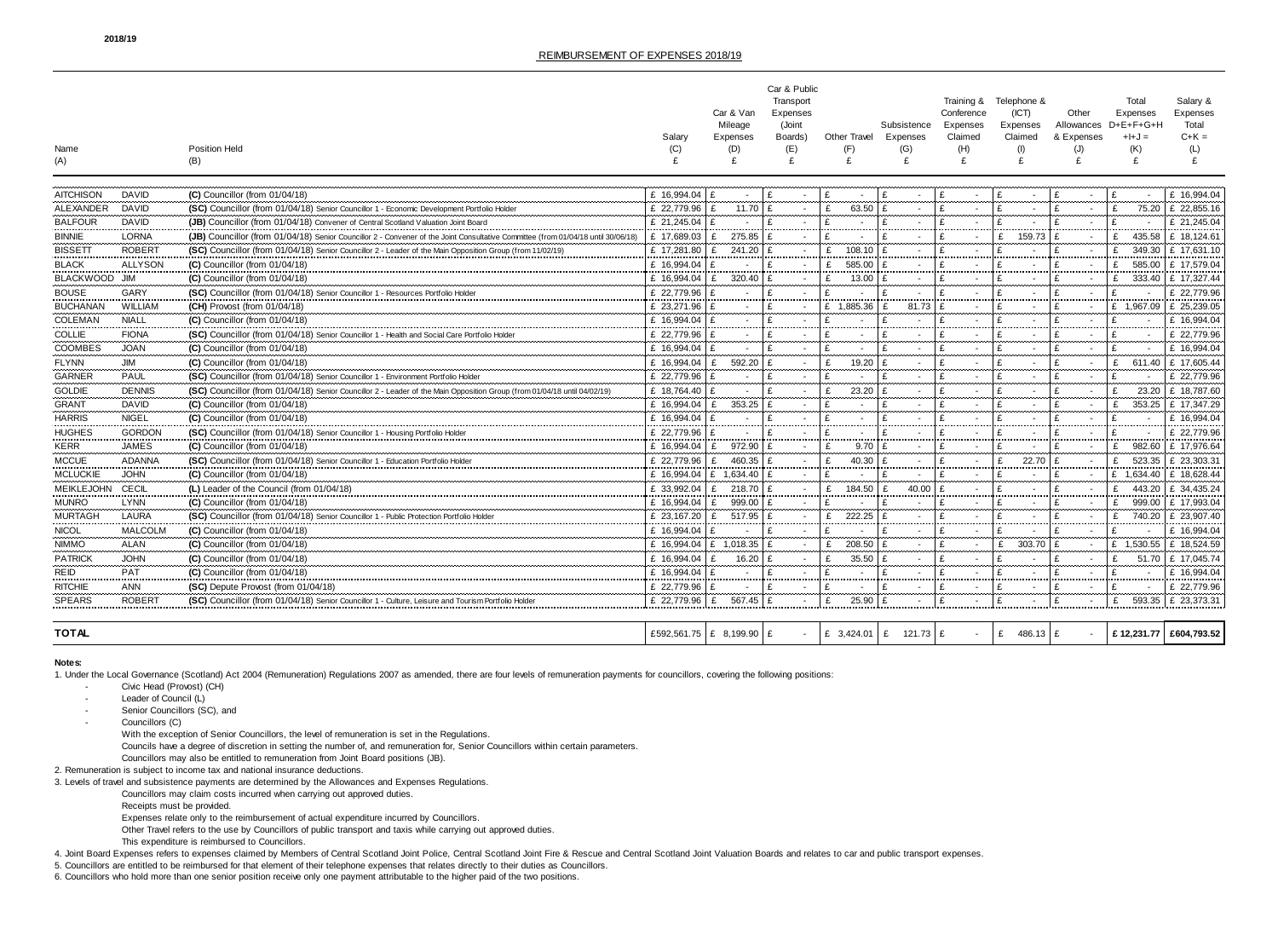|                                     |                          | Car & Public                                                                                                             |                                   |                          |           |                     |                           |            |                 |            |                          |                          |
|-------------------------------------|--------------------------|--------------------------------------------------------------------------------------------------------------------------|-----------------------------------|--------------------------|-----------|---------------------|---------------------------|------------|-----------------|------------|--------------------------|--------------------------|
|                                     |                          |                                                                                                                          |                                   |                          | Transport |                     |                           | Training & | Telephone &     |            | Total                    | Salary &                 |
|                                     |                          |                                                                                                                          |                                   | Car & Van                | Expenses  |                     |                           | Conference | (ICT)           | Other      | Expenses                 | Expenses                 |
|                                     |                          |                                                                                                                          |                                   | Mileage                  | (Joint    |                     | Subsistence               | Expenses   | Expenses        | Allowances | D+E+F+G+H                | Total                    |
|                                     |                          |                                                                                                                          | Salary                            | Expenses                 | Boards)   | Other Travel        | Expenses                  | Claimed    | Claimed         | & Expenses | $+I+J=$                  | C+K =                    |
| Name<br>(A)                         |                          | <b>Position Held</b><br>(B)                                                                                              |                                   | (D)                      | (E)<br>£  | (F)<br>£            | (G)<br>£                  | (H)<br>£   | £               |            | (K)<br>£                 |                          |
|                                     |                          |                                                                                                                          |                                   |                          |           |                     |                           |            |                 |            |                          |                          |
|                                     |                          |                                                                                                                          |                                   |                          |           |                     |                           |            |                 |            |                          |                          |
| <b>AITCHISON</b><br>                | DAVID<br>--------------- | (C) Councillor (from 01/04/18)                                                                                           | £ 16.994.04                       |                          |           |                     |                           |            |                 |            |                          |                          |
| ALEXANDER                           | DAVID                    | <b>(SC)</b> Councillor (from 01/04/18) Senior Councillor 1 - Economic Development Portfolio Holde                        | £ 22,779.96                       | 11.70                    |           | 63.50               |                           |            |                 |            | 75.20                    | £ 22,855.16              |
| <b>BALFOUR</b><br>                  | DAVID                    | <b>JB)</b> Councillor (from 01/04/18) Convener of Central Scotland Valuation Joint Board                                 | £ 21.245.04                       |                          |           |                     |                           |            |                 |            |                          | £ 21.245.04              |
| <b>BINNIE</b><br>                   | <b>LORNA</b><br>         | JB) Councillor (from 01/04/18) Senior Councillor 2 - Convener of the Joint Consultative Committee (from 01               | $f$ 17.689.03                     | 275.85                   |           |                     |                           |            | 159.73          |            | 435.58                   | £ 18.124.61              |
| <b>BISSETT</b>                      | <b>ROBERT</b>            | (SC) Councillor (from 01/04/18) Senior Councillor 2 - Leader of the Main Opposition Group (from 11/02/19)                | £ 17,281.80 E                     | 241.20                   |           | £<br>108.10         | £                         |            |                 |            |                          | 349.30 E 17,631.10       |
| <b>BLACK</b>                        | <b>ALLYSON</b>           | $(C)$ Councillor (from 01/04/18)                                                                                         | £ 16,994.04   £                   |                          |           | £<br>585.00<br>.    |                           |            |                 |            | 585.00                   | £ 17.579.04              |
| BLACKWOOD JIM                       |                          | (C) Councillor (from 01/04/18)                                                                                           | £ 16,994.04<br>------------------ | £<br>320.40<br>          |           | 13.00<br>---------- | ---------------           |            |                 |            | 333.40                   | £ 17,327.44              |
| <b>BOUSE</b>                        | GARY                     | (SC) Councillor (from 01/04/18) Senior Councillor 1 - Resources Portfolio Holder                                         | £ 22,779.96                       |                          |           |                     |                           |            |                 |            |                          | £ 22,779.96              |
| <b>BUCHANAN</b>                     | WILLIAN                  | (CH) Provost (from 01/04/18)                                                                                             | £ 23,271.96 $E$                   |                          |           | £ 1,885.36          | £<br>81.73                |            |                 |            | £ 1.967.09 E 25.239.05   |                          |
| COLEMAN<br>                         | <b>NIALL</b><br>         | (C) Councillor (from 01/04/18)                                                                                           | £ 16,994.04                       |                          |           |                     | .                         |            |                 |            |                          | £ 16,994.04              |
| <b>COLLIE</b>                       | <b>FIONA</b>             | (SC) Councillor (from 01/04/18) Senior Councillor 1 - Health and Social Care Portfolio Holder                            | £ 22,779.96                       |                          |           |                     |                           |            |                 |            |                          | £ 22,779.96              |
| COOMBES                             | <b>JOAN</b>              | <b>(C)</b> Councillor (from 01/04/18)                                                                                    | £ 16.994.04                       |                          |           |                     |                           |            |                 |            |                          | £ 16.994.04              |
| <b>FLYNN</b><br>                    |                          | (C) Councillor (from 01/04/18)                                                                                           | £ 16,994.04                       | 592.20                   |           | 19.20               |                           |            |                 |            |                          | 611.40   £ 17,605.44     |
| <b>GARNER</b>                       | <b>PAUL</b>              | (SC) Councillor (from 01/04/18) Senior Councillor 1 - Environment Portfolio Holder                                       | £ 22,779.96   £                   |                          |           |                     |                           |            |                 |            |                          | £ 22,779.96              |
| <b>GOLDIE</b>                       | <b>DENNIS</b>            | (SC) Councillor (from 01/04/18) Senior Councillor 2 - Leader of the Main Opposition Group (from 01/04/18 until 04/02/19) | £ 18,764.40   £                   |                          |           | 23.20<br>£          |                           |            |                 |            | 23.20                    | £ 18.787.60              |
| <b>GRANT</b>                        | <b>DAVID</b>             | $(C)$ Councillor (from 01/04/18)                                                                                         | £ 16,994.04                       | 353.25<br>£              |           |                     |                           |            |                 |            | 353.25                   | £ 17,347.29              |
| <b>HARRIS</b>                       | <b>NIGEL</b>             | (C) Councillor (from 01/04/18)                                                                                           | £ 16.994.04                       |                          |           |                     |                           |            |                 |            |                          | £ 16,994.04              |
| <b>HUGHES</b>                       | <b>GORDON</b>            | (SC) Councillor (from 01/04/18) Senior Councillor 1 - Housing Portfolio Holder                                           | £ 22,779.96                       |                          |           |                     |                           |            |                 |            |                          | £ 22,779.96              |
| <br><b>KERR</b>                     | <br><b>JAMES</b>         | (C) Councillor (from 01/04/18)                                                                                           | <br>£ 16.994.04                   | 972.90<br>£              |           | 9.70                |                           |            |                 |            | 982.60                   | <br>£ 17,976.64          |
| <br><b>MCCUE</b>                    | .<br><b>ADANNA</b>       | (SC) Councillor (from 01/04/18) Senior Councillor 1 - Education Portfolio Holde                                          | £ 22,779.96                       | <br>460.35<br>£          |           | ------<br>40.30     |                           |            | <br>22.70       |            | .<br>523.35              | £ 23,303.31              |
| .<br><b>MCLUCKIE</b>                | JOHN                     | $(C)$ Councillor (from 01/04/18)                                                                                         |                                   | £ 16.994.04   £ 1.634.40 |           | .                   |                           |            |                 |            | £ 1.634.40               | £ 18.628.44              |
| <br>MEIKLEJOHN                      | <br><b>CECIL</b>         | (L) Leader of the Council (from 01/04/18)                                                                                | £ 33,992.04                       | 218.70 E                 |           | <br>184.50          | <br>40.00                 |            |                 |            |                          | 443.20 E 34,435.24       |
| <b>MUNRO</b>                        | <br><b>LYNN</b>          | (C) Councillor (from 01/04/18)                                                                                           | £ 16,994.04                       | 999.00<br>E              |           |                     | .                         |            |                 |            | 999.00                   | E 17.993.04              |
| <br><b>MURTAGH</b>                  | <br>LAURA                | (SC) Councillor (from 01/04/18) Senior Councillor 1 - Public Protection Portfolio Holder                                 | £ 23,167.20                       | £<br>517.95              |           | 222.25<br>£         |                           |            |                 |            | 740.20                   | £ 23,907.40              |
| <b>NICOL</b>                        | <b>MALCOLM</b>           | (C) Councillor (from 01/04/18)                                                                                           | £ 16.994.04                       |                          |           |                     |                           |            |                 |            |                          | £ 16.994.04              |
| <br><b>NIMMO</b>                    | <br>ALAN                 | $(C)$ Councillor (from 01/04/18)                                                                                         | £ 16,994.04   £ 1,018.35   £      |                          |           | £ $208.50 \le$      | <mark></mark>             |            | £<br>303.70 L £ |            | $E$ 1,530.55 E 18,524.59 |                          |
|                                     |                          | (C) Councillor (from 01/04/18)                                                                                           | £ 16,994.04   £                   | 16.20 E                  |           | 35.50               |                           |            |                 |            |                          | 51.70   £ 17,045.74      |
|                                     | <b>PAT</b>               | (C) Councillor (from 01/04/18)                                                                                           | £ 16,994.04   £                   |                          |           |                     |                           |            |                 |            |                          | .<br>£ 16,994.04         |
| THE ID<br>REID<br>RITCHIE<br>SPEARS | <br>ANN                  | (SC) Depute Provost (from 01/04/18)                                                                                      | <br>£ 22,779.96 £                 |                          |           |                     |                           |            |                 |            |                          | <br>£ 22,779.96          |
|                                     | <br><b>ROBERT</b>        | (SC) Councillor (from 01/04/18) Senior Councillor 1 - Culture, Leisure and Tourism Portfolio Holder                      | £ 22,779.96 £                     | 567.45 £                 |           | 25.90<br>£          | <br>£                     | .<br>£     | <br>£           |            | .<br>£                   | <br>593.35   £ 23,373.31 |
| .                                   |                          |                                                                                                                          |                                   |                          |           |                     |                           |            |                 |            |                          |                          |
| <b>TOTAL</b>                        |                          |                                                                                                                          | £592,561.75 £ 8,199.90 £          |                          |           |                     |                           |            |                 |            | £12,231.77 £604,793.52   |                          |
|                                     |                          |                                                                                                                          |                                   |                          |           |                     | £ 3,424.01   £ 121.73   £ |            | £ $486.13$ £    |            |                          |                          |

# **Notes:**

1. Under the Local Governance (Scotland) Act 2004 (Remuneration) Regulations 2007 as amended, there are four levels of remuneration payments for councillors, covering the following positions:

- Civic Head (Provost) (CH)
- Leader of Council (L)
- Senior Councillors (SC), and

- Councillors (C)

With the exception of Senior Councillors, the level of remuneration is set in the Regulations.

Councils have a degree of discretion in setting the number of, and remuneration for, Senior Councillors within certain parameters.

Councillors may also be entitled to remuneration from Joint Board positions (JB).

2. Remuneration is subject to income tax and national insurance deductions.

3. Levels of travel and subsistence payments are determined by the Allowances and Expenses Regulations.

Councillors may claim costs incurred when carrying out approved duties.

Receipts must be provided.

Expenses relate only to the reimbursement of actual expenditure incurred by Councillors.

Other Travel refers to the use by Councillors of public transport and taxis while carrying out approved duties.

This expenditure is reimbursed to Councillors.

4. Joint Board Expenses refers to expenses claimed by Members of Central Scotland Joint Police, Central Scotland Joint Fire & Rescue and Central Scotland Joint Valuation Boards and relates to car and public transport expen

5. Councillors are entitled to be reimbursed for that element of their telephone expenses that relates directly to their duties as Councillors.

6. Councillors who hold more than one senior position receive only one payment attributable to the higher paid of the two positions.

# REIMBURSEMENT OF EXPENSES 2018/19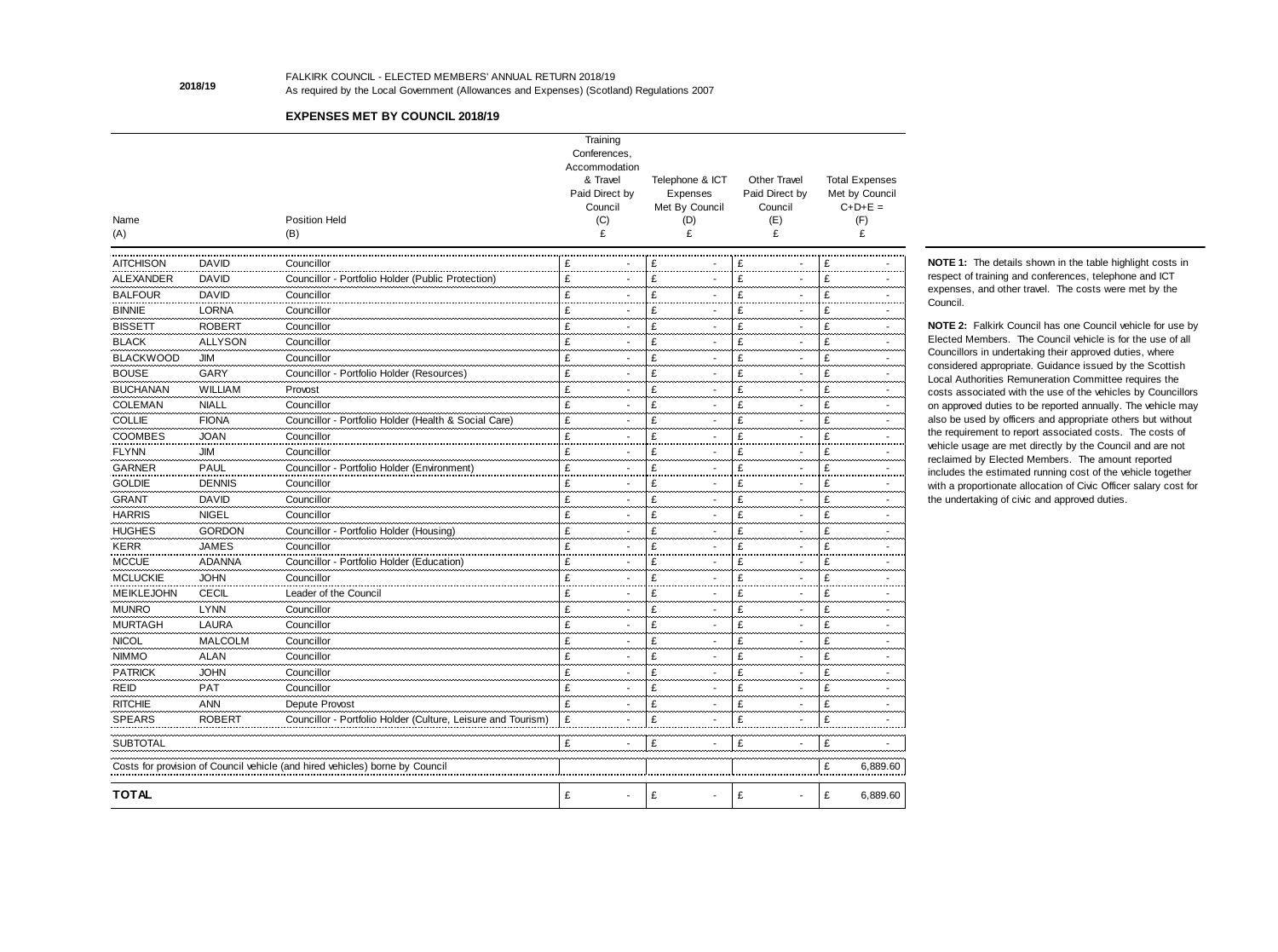|                   |                |                                                                              | Training                   |                            |                                |                                         |
|-------------------|----------------|------------------------------------------------------------------------------|----------------------------|----------------------------|--------------------------------|-----------------------------------------|
|                   |                |                                                                              | Conferences,               |                            |                                |                                         |
|                   |                |                                                                              | Accommodation              |                            |                                |                                         |
|                   |                |                                                                              | & Travel<br>Paid Direct by | Telephone & ICT            | Other Travel<br>Paid Direct by | <b>Total Expenses</b><br>Met by Council |
|                   |                |                                                                              | Council                    | Expenses<br>Met By Council | Council                        | $C+D+E =$                               |
| Name              |                | <b>Position Held</b>                                                         | (C)                        | (D)                        | (E)                            | (F)                                     |
| (A)               |                | (B)                                                                          | £                          | £                          | £                              |                                         |
|                   |                |                                                                              |                            |                            |                                |                                         |
| <b>AITCHISON</b>  | <b>DAVID</b>   | Councillor                                                                   | £                          | £                          | £                              | £                                       |
| ALEXANDER         | <b>DAVID</b>   | Councillor - Portfolio Holder (Public Protection)                            | £                          | £                          | £                              | £                                       |
| <b>BALFOUR</b>    | <b>DAVID</b>   | Councillor                                                                   | £                          | £                          | £                              | £                                       |
| <b>BINNIE</b>     | <b>LORNA</b>   | Councillor                                                                   | £                          | £                          | £                              | £                                       |
| <b>BISSETT</b>    | <b>ROBERT</b>  | Councillor                                                                   | £                          | £                          | £                              | £                                       |
| <b>BLACK</b>      | <b>ALLYSON</b> | Councillor                                                                   | £                          | £                          | £                              | £                                       |
| <b>BLACKWOOD</b>  | JIM            | Councillor                                                                   | £                          | £                          | £                              | £                                       |
| <b>BOUSE</b>      | <b>GARY</b>    | Councillor - Portfolio Holder (Resources)                                    | £                          | £                          | £                              | £                                       |
| <b>BUCHANAN</b>   | <b>WILLIAM</b> | Provost                                                                      | £                          | £                          | £                              | £                                       |
| <b>COLEMAN</b>    | <b>NIALL</b>   | Councillor                                                                   | £                          | £                          | £                              | £                                       |
| <b>COLLIE</b>     | <b>FIONA</b>   | Councillor - Portfolio Holder (Health & Social Care)                         | £                          | £                          | £                              | £                                       |
| <b>COOMBES</b>    | <b>JOAN</b>    | Councillor                                                                   | £                          | £                          | £                              | £                                       |
| <b>FLYNN</b>      | <b>JIM</b>     | Councillor                                                                   | £                          | £                          | £                              | £                                       |
| <b>GARNER</b>     | <b>PAUL</b>    | Councillor - Portfolio Holder (Environment)                                  | £                          | £                          | £                              | £                                       |
| <b>GOLDIE</b>     | <b>DENNIS</b>  | Councillor                                                                   | £                          | £                          | £                              | £                                       |
| <b>GRANT</b>      | <b>DAVID</b>   | Councillor                                                                   | £                          | £                          | £                              | £                                       |
| <b>HARRIS</b>     | <b>NIGEL</b>   | Councillor                                                                   | £                          | £                          | £                              | £                                       |
| <b>HUGHES</b>     | <b>GORDON</b>  | Councillor - Portfolio Holder (Housing)                                      | £                          | £                          | £                              | £                                       |
| <b>KERR</b>       | <b>JAMES</b>   | Councillor                                                                   | £                          | £                          | £                              | £                                       |
| <b>MCCUE</b>      | <b>ADANNA</b>  | Councillor - Portfolio Holder (Education)                                    | £                          | £                          | £                              | £                                       |
| <b>MCLUCKIE</b>   | <b>JOHN</b>    | Councillor                                                                   | £                          | £                          | £                              | £                                       |
| <b>MEIKLEJOHN</b> | <b>CECIL</b>   | Leader of the Council                                                        | £                          | £                          | £                              | £                                       |
| <b>MUNRO</b>      | <b>LYNN</b>    | Councillor                                                                   | £                          | £                          | £                              | £                                       |
| <b>MURTAGH</b>    | LAURA          | Councillor                                                                   |                            |                            |                                |                                         |
| <b>NICOL</b>      | <b>MALCOLM</b> | Councillor                                                                   |                            |                            |                                |                                         |
| <b>NIMMO</b>      | ALAN           | Councillor                                                                   | £                          |                            |                                |                                         |
| <b>PATRICK</b>    | <b>JOHN</b>    | Councillor                                                                   |                            |                            |                                |                                         |
| <b>REID</b>       | PAT            | Councillor                                                                   |                            |                            |                                |                                         |
| <b>RITCHIE</b>    | <b>ANN</b>     | Depute Provost                                                               |                            |                            |                                |                                         |
| <b>SPEARS</b>     | <b>ROBERT</b>  | Councillor - Portfolio Holder (Culture, Leisure and Tourism)                 | £                          | £                          |                                |                                         |
| <b>SUBTOTAL</b>   |                |                                                                              | £                          | £                          | £                              |                                         |
|                   |                |                                                                              |                            |                            |                                |                                         |
|                   |                | Costs for provision of Council vehicle (and hired vehicles) borne by Council |                            |                            |                                | 6,889.60<br>£                           |
| <b>TOTAL</b>      |                |                                                                              | £                          | £                          | £                              | 6,889.60<br>£                           |

Elected Members. The Council vehicle is for the use of all Councillors in undertaking their approved duties, where considered appropriate. Guidance issued by the Scottish Local Authorities Remuneration Committee requires the costs associated with the use of the vehicles by Councillors on approved duties to be reported annually. The vehicle may also be used by officers and appropriate others but without the requirement to report associated costs. The costs of vehicle usage are met directly by the Council and are not reclaimed by Elected Members. The amount reported includes the estimated running cost of the vehicle together with a proportionate allocation of Civic Officer salary cost for the undertaking of civic and approved duties.

**NOTE 2:** Falkirk Council has one Council vehicle for use by **NOTE 1:** The details shown in the table highlight costs in respect of training and conferences, telephone and ICT expenses, and other travel. The costs were met by the Council.

FALKIRK COUNCIL - ELECTED MEMBERS' ANNUAL RETURN 2018/19 As required by the Local Government (Allowances and Expenses) (Scotland) Regulations 2007

# **EXPENSES MET BY COUNCIL 2018/19**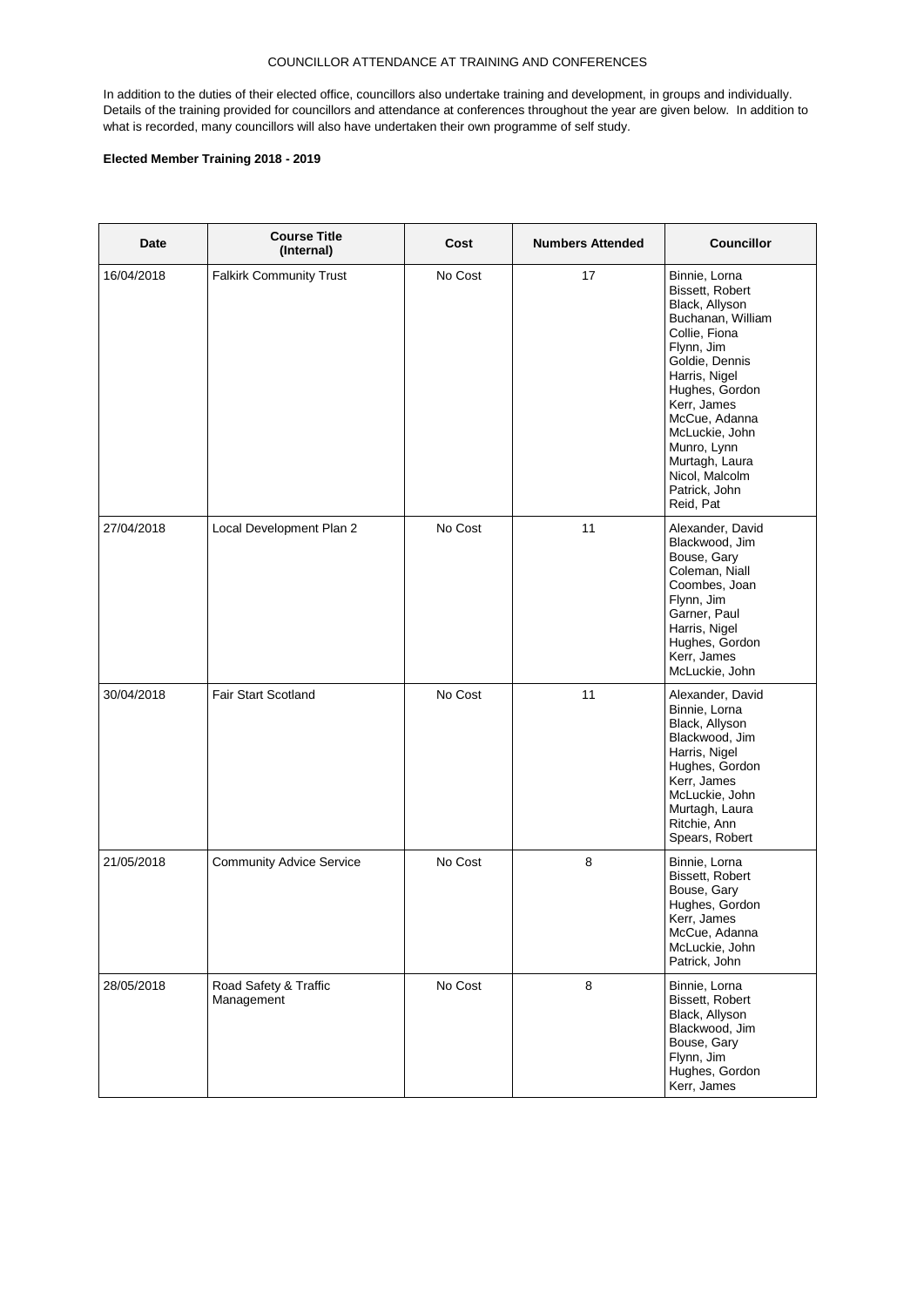In addition to the duties of their elected office, councillors also undertake training and development, in groups and individually. Details of the training provided for councillors and attendance at conferences throughout the year are given below. In addition to what is recorded, many councillors will also have undertaken their own programme of self study.

| Date       | <b>Course Title</b><br>(Internal)   | Cost    | <b>Numbers Attended</b> | <b>Councillor</b>                                                                                                                                                                                                                                                                              |
|------------|-------------------------------------|---------|-------------------------|------------------------------------------------------------------------------------------------------------------------------------------------------------------------------------------------------------------------------------------------------------------------------------------------|
| 16/04/2018 | <b>Falkirk Community Trust</b>      | No Cost | 17                      | Binnie, Lorna<br>Bissett, Robert<br>Black, Allyson<br>Buchanan, William<br>Collie, Fiona<br>Flynn, Jim<br>Goldie, Dennis<br>Harris, Nigel<br>Hughes, Gordon<br>Kerr, James<br>McCue, Adanna<br>McLuckie, John<br>Munro, Lynn<br>Murtagh, Laura<br>Nicol, Malcolm<br>Patrick, John<br>Reid, Pat |
| 27/04/2018 | Local Development Plan 2            | No Cost | 11                      | Alexander, David<br>Blackwood, Jim<br>Bouse, Gary<br>Coleman, Niall<br>Coombes, Joan<br>Flynn, Jim<br>Garner, Paul<br>Harris, Nigel<br>Hughes, Gordon<br>Kerr, James<br>McLuckie, John                                                                                                         |
| 30/04/2018 | Fair Start Scotland                 | No Cost | 11                      | Alexander, David<br>Binnie, Lorna<br>Black, Allyson<br>Blackwood, Jim<br>Harris, Nigel<br>Hughes, Gordon<br>Kerr, James<br>McLuckie, John<br>Murtagh, Laura<br>Ritchie, Ann<br>Spears, Robert                                                                                                  |
| 21/05/2018 | <b>Community Advice Service</b>     | No Cost | 8                       | Binnie, Lorna<br>Bissett, Robert<br>Bouse, Gary<br>Hughes, Gordon<br>Kerr, James<br>McCue, Adanna<br>McLuckie, John<br>Patrick, John                                                                                                                                                           |
| 28/05/2018 | Road Safety & Traffic<br>Management | No Cost | 8                       | Binnie, Lorna<br>Bissett, Robert<br>Black, Allyson<br>Blackwood, Jim<br>Bouse, Gary<br>Flynn, Jim<br>Hughes, Gordon<br>Kerr, James                                                                                                                                                             |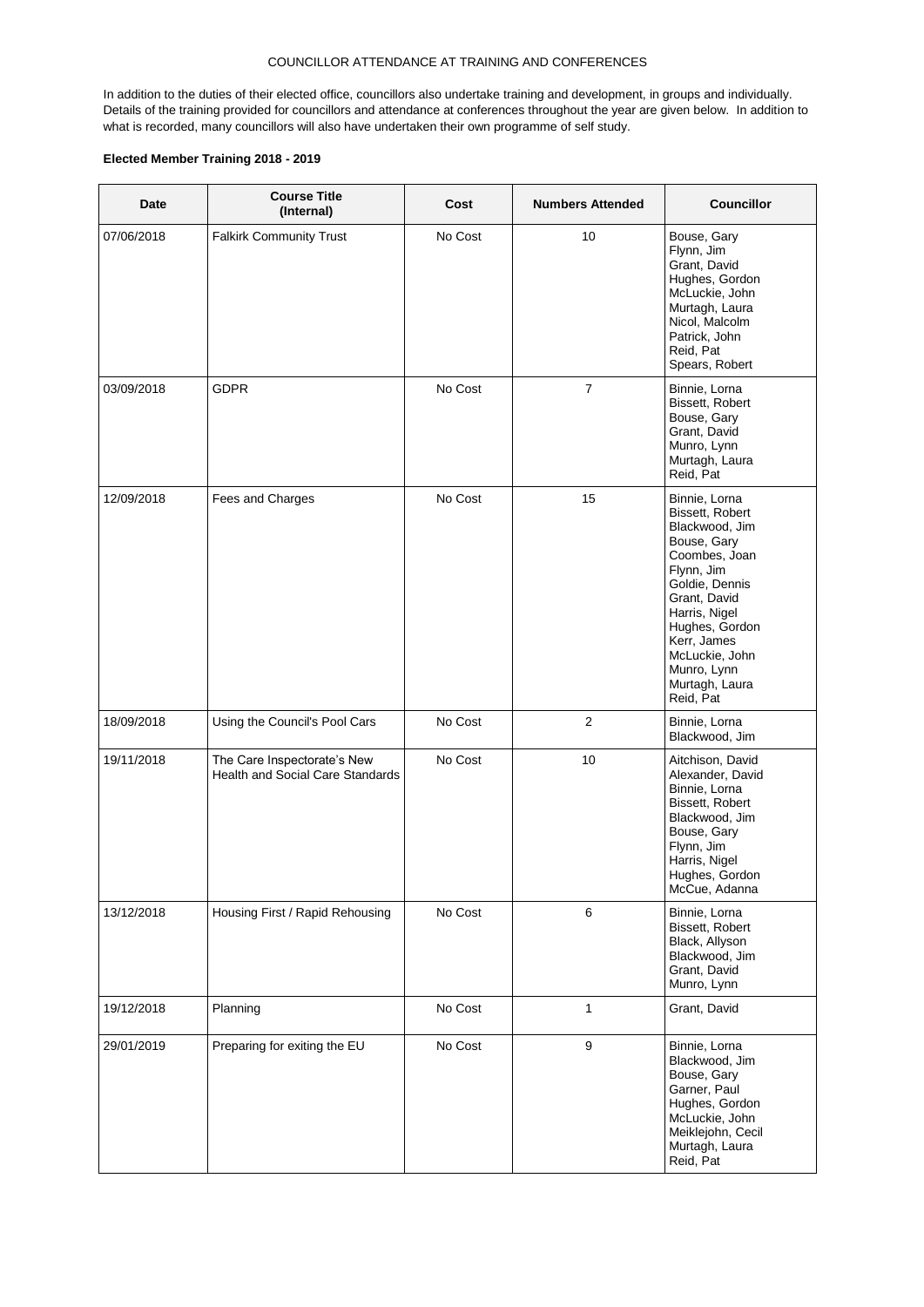In addition to the duties of their elected office, councillors also undertake training and development, in groups and individually. Details of the training provided for councillors and attendance at conferences throughout the year are given below. In addition to what is recorded, many councillors will also have undertaken their own programme of self study.

| Date       | <b>Course Title</b><br>(Internal)                                      | Cost    | <b>Numbers Attended</b> | <b>Councillor</b>                                                                                                                                                                                                                                    |
|------------|------------------------------------------------------------------------|---------|-------------------------|------------------------------------------------------------------------------------------------------------------------------------------------------------------------------------------------------------------------------------------------------|
| 07/06/2018 | <b>Falkirk Community Trust</b>                                         | No Cost | 10                      | Bouse, Gary<br>Flynn, Jim<br>Grant, David<br>Hughes, Gordon<br>McLuckie, John<br>Murtagh, Laura<br>Nicol, Malcolm<br>Patrick, John<br>Reid, Pat<br>Spears, Robert                                                                                    |
| 03/09/2018 | <b>GDPR</b>                                                            | No Cost | $\overline{7}$          | Binnie, Lorna<br>Bissett, Robert<br>Bouse, Gary<br>Grant, David<br>Munro, Lynn<br>Murtagh, Laura<br>Reid, Pat                                                                                                                                        |
| 12/09/2018 | Fees and Charges                                                       | No Cost | 15                      | Binnie, Lorna<br>Bissett, Robert<br>Blackwood, Jim<br>Bouse, Gary<br>Coombes, Joan<br>Flynn, Jim<br>Goldie, Dennis<br>Grant, David<br>Harris, Nigel<br>Hughes, Gordon<br>Kerr, James<br>McLuckie, John<br>Munro, Lynn<br>Murtagh, Laura<br>Reid, Pat |
| 18/09/2018 | Using the Council's Pool Cars                                          | No Cost | 2                       | Binnie, Lorna<br>Blackwood, Jim                                                                                                                                                                                                                      |
| 19/11/2018 | The Care Inspectorate's New<br><b>Health and Social Care Standards</b> | No Cost | 10                      | Aitchison, David<br>Alexander, David<br>Binnie, Lorna<br>Bissett, Robert<br>Blackwood, Jim<br>Bouse, Gary<br>Flynn, Jim<br>Harris, Nigel<br>Hughes, Gordon<br>McCue, Adanna                                                                          |
| 13/12/2018 | Housing First / Rapid Rehousing                                        | No Cost | 6                       | Binnie, Lorna<br>Bissett, Robert<br>Black, Allyson<br>Blackwood, Jim<br>Grant, David<br>Munro, Lynn                                                                                                                                                  |
| 19/12/2018 | Planning                                                               | No Cost | $\mathbf{1}$            | Grant, David                                                                                                                                                                                                                                         |
| 29/01/2019 | Preparing for exiting the EU                                           | No Cost | $\boldsymbol{9}$        | Binnie, Lorna<br>Blackwood, Jim<br>Bouse, Gary<br>Garner, Paul<br>Hughes, Gordon<br>McLuckie, John<br>Meiklejohn, Cecil<br>Murtagh, Laura<br>Reid, Pat                                                                                               |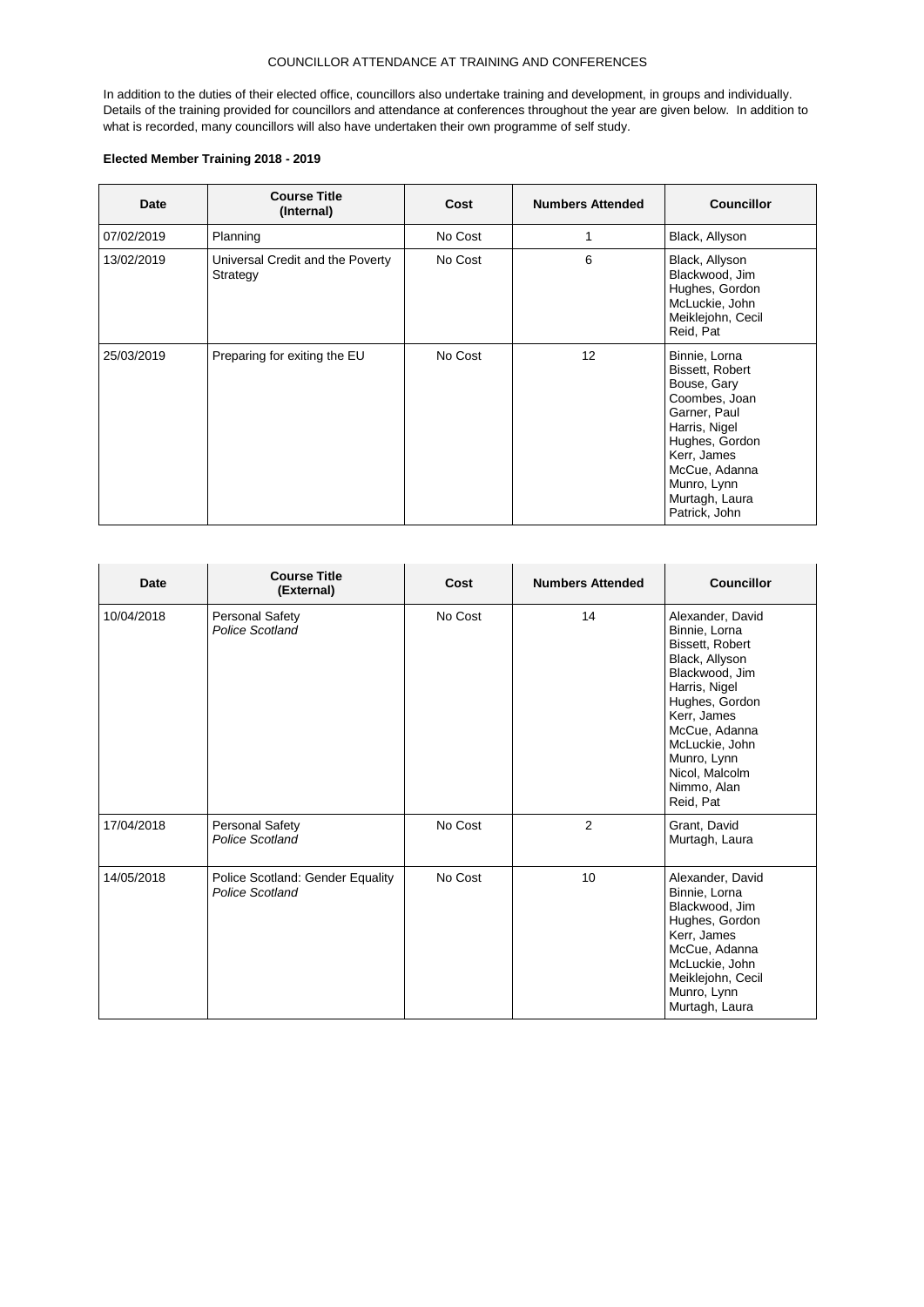In addition to the duties of their elected office, councillors also undertake training and development, in groups and individually. Details of the training provided for councillors and attendance at conferences throughout the year are given below. In addition to what is recorded, many councillors will also have undertaken their own programme of self study.

| Date       | <b>Course Title</b><br>(Internal)            | Cost    | <b>Numbers Attended</b> | <b>Councillor</b>                                                                                                                                                                                     |
|------------|----------------------------------------------|---------|-------------------------|-------------------------------------------------------------------------------------------------------------------------------------------------------------------------------------------------------|
| 07/02/2019 | Planning                                     | No Cost |                         | Black, Allyson                                                                                                                                                                                        |
| 13/02/2019 | Universal Credit and the Poverty<br>Strategy | No Cost | 6                       | Black, Allyson<br>Blackwood, Jim<br>Hughes, Gordon<br>McLuckie, John<br>Meiklejohn, Cecil<br>Reid, Pat                                                                                                |
| 25/03/2019 | Preparing for exiting the EU                 | No Cost | 12                      | Binnie, Lorna<br>Bissett, Robert<br>Bouse, Gary<br>Coombes, Joan<br>Garner, Paul<br>Harris, Nigel<br>Hughes, Gordon<br>Kerr, James<br>McCue, Adanna<br>Munro, Lynn<br>Murtagh, Laura<br>Patrick, John |

| Date       | <b>Course Title</b><br>(External)                   | Cost    | <b>Numbers Attended</b> | <b>Councillor</b>                                                                                                                                                                                                                          |
|------------|-----------------------------------------------------|---------|-------------------------|--------------------------------------------------------------------------------------------------------------------------------------------------------------------------------------------------------------------------------------------|
| 10/04/2018 | Personal Safety<br>Police Scotland                  | No Cost | 14                      | Alexander, David<br>Binnie, Lorna<br>Bissett, Robert<br>Black, Allyson<br>Blackwood, Jim<br>Harris, Nigel<br>Hughes, Gordon<br>Kerr, James<br>McCue, Adanna<br>McLuckie, John<br>Munro, Lynn<br>Nicol, Malcolm<br>Nimmo, Alan<br>Reid, Pat |
| 17/04/2018 | Personal Safety<br>Police Scotland                  | No Cost | $\overline{2}$          | Grant, David<br>Murtagh, Laura                                                                                                                                                                                                             |
| 14/05/2018 | Police Scotland: Gender Equality<br>Police Scotland | No Cost | 10                      | Alexander, David<br>Binnie, Lorna<br>Blackwood, Jim<br>Hughes, Gordon<br>Kerr, James<br>McCue, Adanna<br>McLuckie, John<br>Meiklejohn, Cecil<br>Munro, Lynn<br>Murtagh, Laura                                                              |